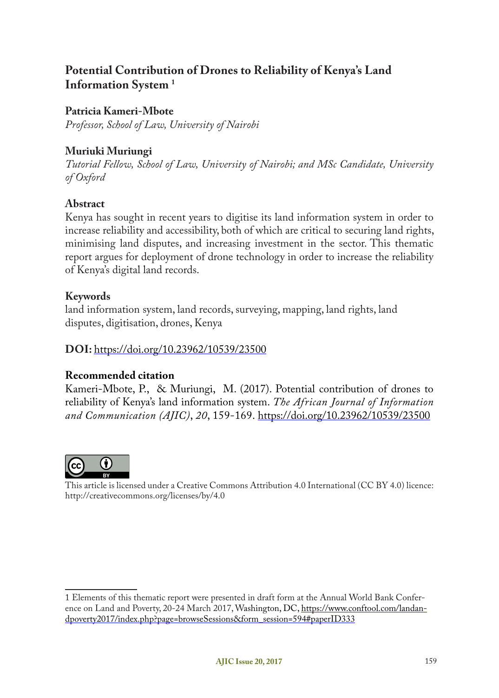# **Potential Contribution of Drones to Reliability of Kenya's Land Information System 1**

### **Patricia Kameri-Mbote**

*Professor, School of Law, University of Nairobi*

### **Muriuki Muriungi**

*Tutorial Fellow, School of Law, University of Nairobi; and MSc Candidate, University of Oxford*

### **Abstract**

Kenya has sought in recent years to digitise its land information system in order to increase reliability and accessibility, both of which are critical to securing land rights, minimising land disputes, and increasing investment in the sector. This thematic report argues for deployment of drone technology in order to increase the reliability of Kenya's digital land records.

#### **Keywords**

land information system, land records, surveying, mapping, land rights, land disputes, digitisation, drones, Kenya

#### **DOI:** https://doi.org/10.23962/10539/23500

### **Recommended citation**

Kameri-Mbote, P., & Muriungi, M. (2017). Potential contribution of drones to reliability of Kenya's land information system. *The African Journal of Information and Communication (AJIC)*, *20*, 159-169. https://doi.org/10.23962/10539/23500



This article is licensed under a Creative Commons Attribution 4.0 International (CC BY 4.0) licence: http://creativecommons.org/licenses/by/4.0

<sup>1</sup> Elements of this thematic report were presented in draft form at the Annual World Bank Conference on Land and Poverty, 20-24 March 2017, Washington, DC, https://www.conftool.com/landandpoverty2017/index.php?page=browseSessions&form\_session=594#paperID333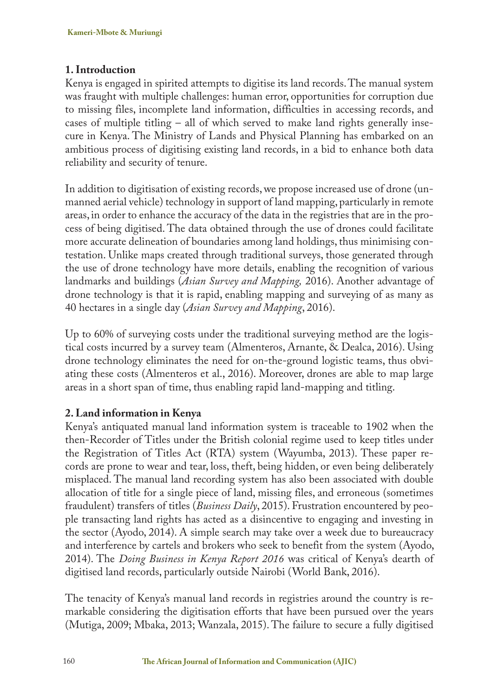### **1. Introduction**

Kenya is engaged in spirited attempts to digitise its land records. The manual system was fraught with multiple challenges: human error, opportunities for corruption due to missing files, incomplete land information, difficulties in accessing records, and cases of multiple titling – all of which served to make land rights generally insecure in Kenya. The Ministry of Lands and Physical Planning has embarked on an ambitious process of digitising existing land records, in a bid to enhance both data reliability and security of tenure.

In addition to digitisation of existing records, we propose increased use of drone (unmanned aerial vehicle) technology in support of land mapping, particularly in remote areas, in order to enhance the accuracy of the data in the registries that are in the process of being digitised. The data obtained through the use of drones could facilitate more accurate delineation of boundaries among land holdings, thus minimising contestation. Unlike maps created through traditional surveys, those generated through the use of drone technology have more details, enabling the recognition of various landmarks and buildings (*Asian Survey and Mapping,* 2016). Another advantage of drone technology is that it is rapid, enabling mapping and surveying of as many as 40 hectares in a single day (*Asian Survey and Mapping*, 2016).

Up to 60% of surveying costs under the traditional surveying method are the logistical costs incurred by a survey team (Almenteros, Arnante, & Dealca, 2016). Using drone technology eliminates the need for on-the-ground logistic teams, thus obviating these costs (Almenteros et al., 2016). Moreover, drones are able to map large areas in a short span of time, thus enabling rapid land-mapping and titling.

## **2. Land information in Kenya**

Kenya's antiquated manual land information system is traceable to 1902 when the then-Recorder of Titles under the British colonial regime used to keep titles under the Registration of Titles Act (RTA) system (Wayumba, 2013). These paper records are prone to wear and tear, loss, theft, being hidden, or even being deliberately misplaced. The manual land recording system has also been associated with double allocation of title for a single piece of land, missing files, and erroneous (sometimes fraudulent) transfers of titles (*Business Daily*, 2015). Frustration encountered by people transacting land rights has acted as a disincentive to engaging and investing in the sector (Ayodo, 2014). A simple search may take over a week due to bureaucracy and interference by cartels and brokers who seek to benefit from the system (Ayodo, 2014). The *Doing Business in Kenya Report 2016* was critical of Kenya's dearth of digitised land records, particularly outside Nairobi (World Bank, 2016).

The tenacity of Kenya's manual land records in registries around the country is remarkable considering the digitisation efforts that have been pursued over the years (Mutiga, 2009; Mbaka, 2013; Wanzala, 2015). The failure to secure a fully digitised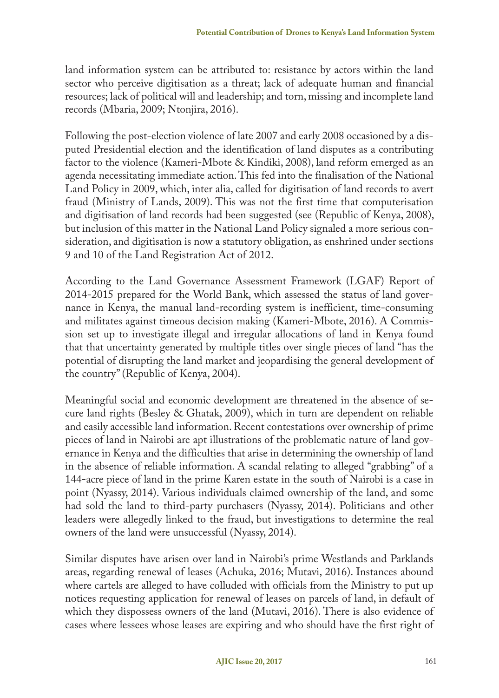land information system can be attributed to: resistance by actors within the land sector who perceive digitisation as a threat; lack of adequate human and financial resources; lack of political will and leadership; and torn, missing and incomplete land records (Mbaria, 2009; Ntonjira, 2016).

Following the post-election violence of late 2007 and early 2008 occasioned by a disputed Presidential election and the identification of land disputes as a contributing factor to the violence (Kameri-Mbote & Kindiki, 2008), land reform emerged as an agenda necessitating immediate action. This fed into the finalisation of the National Land Policy in 2009, which, inter alia, called for digitisation of land records to avert fraud (Ministry of Lands, 2009). This was not the first time that computerisation and digitisation of land records had been suggested (see (Republic of Kenya, 2008), but inclusion of this matter in the National Land Policy signaled a more serious consideration, and digitisation is now a statutory obligation, as enshrined under sections 9 and 10 of the Land Registration Act of 2012.

According to the Land Governance Assessment Framework (LGAF) Report of 2014-2015 prepared for the World Bank, which assessed the status of land governance in Kenya, the manual land-recording system is inefficient, time-consuming and militates against timeous decision making (Kameri-Mbote, 2016). A Commission set up to investigate illegal and irregular allocations of land in Kenya found that that uncertainty generated by multiple titles over single pieces of land "has the potential of disrupting the land market and jeopardising the general development of the country" (Republic of Kenya, 2004).

Meaningful social and economic development are threatened in the absence of secure land rights (Besley & Ghatak, 2009), which in turn are dependent on reliable and easily accessible land information. Recent contestations over ownership of prime pieces of land in Nairobi are apt illustrations of the problematic nature of land governance in Kenya and the difficulties that arise in determining the ownership of land in the absence of reliable information. A scandal relating to alleged "grabbing" of a 144-acre piece of land in the prime Karen estate in the south of Nairobi is a case in point (Nyassy, 2014). Various individuals claimed ownership of the land, and some had sold the land to third-party purchasers (Nyassy, 2014). Politicians and other leaders were allegedly linked to the fraud, but investigations to determine the real owners of the land were unsuccessful (Nyassy, 2014).

Similar disputes have arisen over land in Nairobi's prime Westlands and Parklands areas, regarding renewal of leases (Achuka, 2016; Mutavi, 2016). Instances abound where cartels are alleged to have colluded with officials from the Ministry to put up notices requesting application for renewal of leases on parcels of land, in default of which they dispossess owners of the land (Mutavi, 2016). There is also evidence of cases where lessees whose leases are expiring and who should have the first right of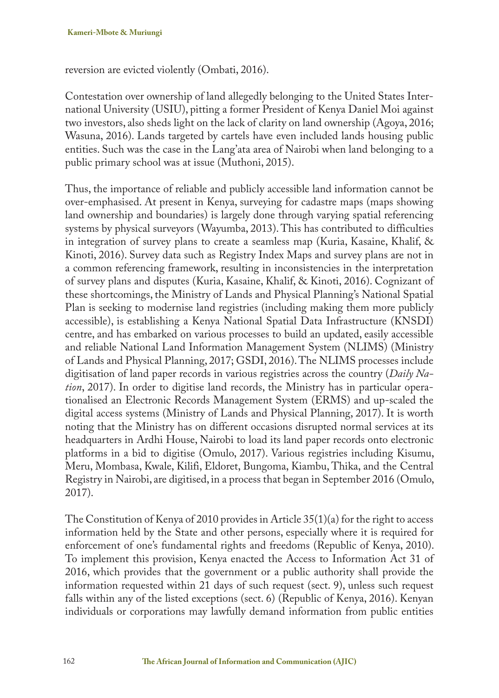reversion are evicted violently (Ombati, 2016).

Contestation over ownership of land allegedly belonging to the United States International University (USIU), pitting a former President of Kenya Daniel Moi against two investors, also sheds light on the lack of clarity on land ownership (Agoya, 2016; Wasuna, 2016). Lands targeted by cartels have even included lands housing public entities. Such was the case in the Lang'ata area of Nairobi when land belonging to a public primary school was at issue (Muthoni, 2015).

Thus, the importance of reliable and publicly accessible land information cannot be over-emphasised. At present in Kenya, surveying for cadastre maps (maps showing land ownership and boundaries) is largely done through varying spatial referencing systems by physical surveyors (Wayumba, 2013). This has contributed to difficulties in integration of survey plans to create a seamless map (Kuria, Kasaine, Khalif, & Kinoti, 2016). Survey data such as Registry Index Maps and survey plans are not in a common referencing framework, resulting in inconsistencies in the interpretation of survey plans and disputes (Kuria, Kasaine, Khalif, & Kinoti, 2016). Cognizant of these shortcomings, the Ministry of Lands and Physical Planning's National Spatial Plan is seeking to modernise land registries (including making them more publicly accessible), is establishing a Kenya National Spatial Data Infrastructure (KNSDI) centre, and has embarked on various processes to build an updated, easily accessible and reliable National Land Information Management System (NLIMS) (Ministry of Lands and Physical Planning, 2017; GSDI, 2016). The NLIMS processes include digitisation of land paper records in various registries across the country (*Daily Nation*, 2017). In order to digitise land records, the Ministry has in particular operationalised an Electronic Records Management System (ERMS) and up-scaled the digital access systems (Ministry of Lands and Physical Planning, 2017). It is worth noting that the Ministry has on different occasions disrupted normal services at its headquarters in Ardhi House, Nairobi to load its land paper records onto electronic platforms in a bid to digitise (Omulo, 2017). Various registries including Kisumu, Meru, Mombasa, Kwale, Kilifi, Eldoret, Bungoma, Kiambu, Thika, and the Central Registry in Nairobi, are digitised, in a process that began in September 2016 (Omulo, 2017).

The Constitution of Kenya of 2010 provides in Article 35(1)(a) for the right to access information held by the State and other persons, especially where it is required for enforcement of one's fundamental rights and freedoms (Republic of Kenya, 2010). To implement this provision, Kenya enacted the Access to Information Act 31 of 2016, which provides that the government or a public authority shall provide the information requested within 21 days of such request (sect. 9), unless such request falls within any of the listed exceptions (sect. 6) (Republic of Kenya, 2016). Kenyan individuals or corporations may lawfully demand information from public entities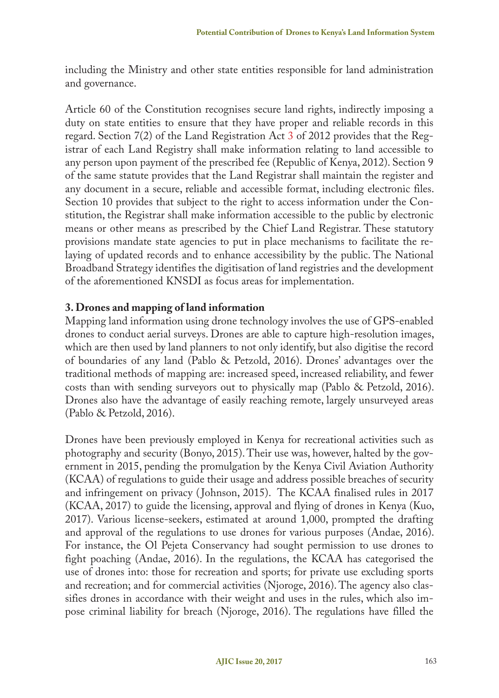including the Ministry and other state entities responsible for land administration and governance.

Article 60 of the Constitution recognises secure land rights, indirectly imposing a duty on state entities to ensure that they have proper and reliable records in this regard. Section 7(2) of the Land Registration Act 3 of 2012 provides that the Registrar of each Land Registry shall make information relating to land accessible to any person upon payment of the prescribed fee (Republic of Kenya, 2012). Section 9 of the same statute provides that the Land Registrar shall maintain the register and any document in a secure, reliable and accessible format, including electronic files. Section 10 provides that subject to the right to access information under the Constitution, the Registrar shall make information accessible to the public by electronic means or other means as prescribed by the Chief Land Registrar. These statutory provisions mandate state agencies to put in place mechanisms to facilitate the relaying of updated records and to enhance accessibility by the public. The National Broadband Strategy identifies the digitisation of land registries and the development of the aforementioned KNSDI as focus areas for implementation.

#### **3. Drones and mapping of land information**

Mapping land information using drone technology involves the use of GPS-enabled drones to conduct aerial surveys. Drones are able to capture high-resolution images, which are then used by land planners to not only identify, but also digitise the record of boundaries of any land (Pablo & Petzold, 2016). Drones' advantages over the traditional methods of mapping are: increased speed, increased reliability, and fewer costs than with sending surveyors out to physically map (Pablo & Petzold, 2016). Drones also have the advantage of easily reaching remote, largely unsurveyed areas (Pablo & Petzold, 2016).

Drones have been previously employed in Kenya for recreational activities such as photography and security (Bonyo, 2015). Their use was, however, halted by the government in 2015, pending the promulgation by the Kenya Civil Aviation Authority (KCAA) of regulations to guide their usage and address possible breaches of security and infringement on privacy ( Johnson, 2015). The KCAA finalised rules in 2017 (KCAA, 2017) to guide the licensing, approval and flying of drones in Kenya (Kuo, 2017). Various license-seekers, estimated at around 1,000, prompted the drafting and approval of the regulations to use drones for various purposes (Andae, 2016). For instance, the Ol Pejeta Conservancy had sought permission to use drones to fight poaching (Andae, 2016). In the regulations, the KCAA has categorised the use of drones into: those for recreation and sports; for private use excluding sports and recreation; and for commercial activities (Njoroge, 2016). The agency also classifies drones in accordance with their weight and uses in the rules, which also impose criminal liability for breach (Njoroge, 2016). The regulations have filled the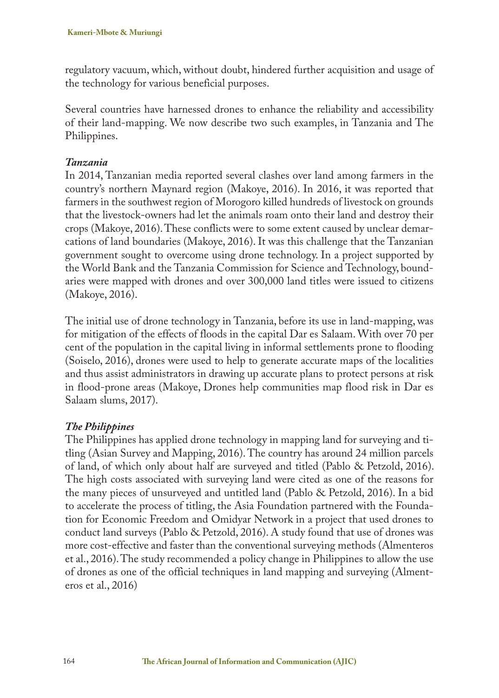regulatory vacuum, which, without doubt, hindered further acquisition and usage of the technology for various beneficial purposes.

Several countries have harnessed drones to enhance the reliability and accessibility of their land-mapping. We now describe two such examples, in Tanzania and The Philippines.

### *Tanzania*

In 2014, Tanzanian media reported several clashes over land among farmers in the country's northern Maynard region (Makoye, 2016). In 2016, it was reported that farmers in the southwest region of Morogoro killed hundreds of livestock on grounds that the livestock-owners had let the animals roam onto their land and destroy their crops (Makoye, 2016). These conflicts were to some extent caused by unclear demarcations of land boundaries (Makoye, 2016). It was this challenge that the Tanzanian government sought to overcome using drone technology. In a project supported by the World Bank and the Tanzania Commission for Science and Technology, boundaries were mapped with drones and over 300,000 land titles were issued to citizens (Makoye, 2016).

The initial use of drone technology in Tanzania, before its use in land-mapping, was for mitigation of the effects of floods in the capital Dar es Salaam. With over 70 per cent of the population in the capital living in informal settlements prone to flooding (Soiselo, 2016), drones were used to help to generate accurate maps of the localities and thus assist administrators in drawing up accurate plans to protect persons at risk in flood-prone areas (Makoye, Drones help communities map flood risk in Dar es Salaam slums, 2017).

### *The Philippines*

The Philippines has applied drone technology in mapping land for surveying and titling (Asian Survey and Mapping, 2016). The country has around 24 million parcels of land, of which only about half are surveyed and titled (Pablo & Petzold, 2016). The high costs associated with surveying land were cited as one of the reasons for the many pieces of unsurveyed and untitled land (Pablo & Petzold, 2016). In a bid to accelerate the process of titling, the Asia Foundation partnered with the Foundation for Economic Freedom and Omidyar Network in a project that used drones to conduct land surveys (Pablo & Petzold, 2016). A study found that use of drones was more cost-effective and faster than the conventional surveying methods (Almenteros et al., 2016). The study recommended a policy change in Philippines to allow the use of drones as one of the official techniques in land mapping and surveying (Almenteros et al., 2016)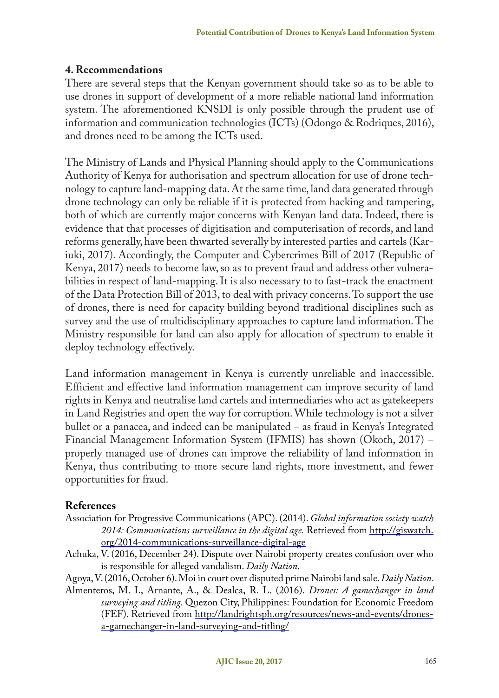#### **4. Recommendations**

There are several steps that the Kenyan government should take so as to be able to use drones in support of development of a more reliable national land information system. The aforementioned KNSDI is only possible through the prudent use of information and communication technologies (ICTs) (Odongo & Rodriques, 2016), and drones need to be among the ICTs used.

The Ministry of Lands and Physical Planning should apply to the Communications Authority of Kenya for authorisation and spectrum allocation for use of drone technology to capture land-mapping data. At the same time, land data generated through drone technology can only be reliable if it is protected from hacking and tampering, both of which are currently major concerns with Kenyan land data. Indeed, there is evidence that that processes of digitisation and computerisation of records, and land reforms generally, have been thwarted severally by interested parties and cartels (Kariuki, 2017). Accordingly, the Computer and Cybercrimes Bill of 2017 (Republic of Kenya, 2017) needs to become law, so as to prevent fraud and address other vulnerabilities in respect of land-mapping. It is also necessary to to fast-track the enactment of the Data Protection Bill of 2013, to deal with privacy concerns. To support the use of drones, there is need for capacity building beyond traditional disciplines such as survey and the use of multidisciplinary approaches to capture land information. The Ministry responsible for land can also apply for allocation of spectrum to enable it deploy technology effectively.

Land information management in Kenya is currently unreliable and inaccessible. Efficient and effective land information management can improve security of land rights in Kenya and neutralise land cartels and intermediaries who act as gatekeepers in Land Registries and open the way for corruption. While technology is not a silver bullet or a panacea, and indeed can be manipulated – as fraud in Kenya's Integrated Financial Management Information System (IFMIS) has shown (Okoth, 2017) – properly managed use of drones can improve the reliability of land information in Kenya, thus contributing to more secure land rights, more investment, and fewer opportunities for fraud.

#### **References**

- Association for Progressive Communications (APC). (2014). *Global information society watch 2014: Communications surveillance in the digital age.* Retrieved from http://giswatch. org/2014-communications-surveillance-digital-age
- Achuka, V. (2016, December 24). Dispute over Nairobi property creates confusion over who is responsible for alleged vandalism. *Daily Nation*.

Agoya, V. (2016, October 6). Moi in court over disputed prime Nairobi land sale. *Daily Nation*.

Almenteros, M. I., Arnante, A., & Dealca, R. L. (2016). *Drones: A gamechanger in land surveying and titling.* Quezon City, Philippines: Foundation for Economic Freedom (FEF). Retrieved from http://landrightsph.org/resources/news-and-events/dronesa-gamechanger-in-land-surveying-and-titling/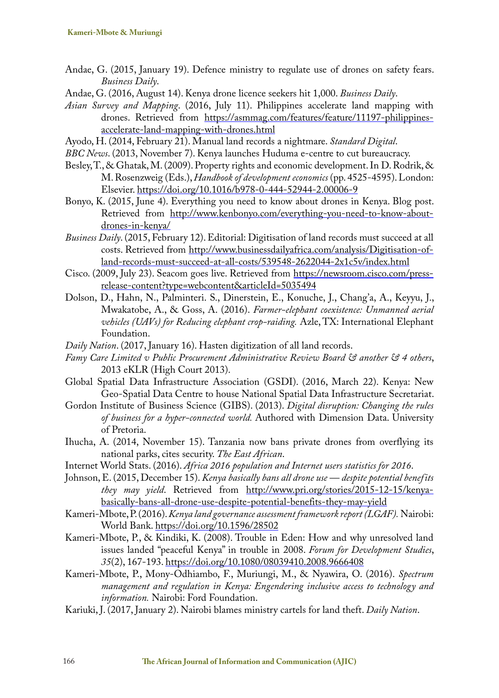- Andae, G. (2015, January 19). Defence ministry to regulate use of drones on safety fears. *Business Daily*.
- Andae, G. (2016, August 14). Kenya drone licence seekers hit 1,000. *Business Daily*.
- *Asian Survey and Mapping*. (2016, July 11). Philippines accelerate land mapping with drones. Retrieved from https://asmmag.com/features/feature/11197-philippinesaccelerate-land-mapping-with-drones.html
- Ayodo, H. (2014, February 21). Manual land records a nightmare. *Standard Digital*.
- *BBC News*. (2013, November 7). Kenya launches Huduma e-centre to cut bureaucracy.
- Besley, T., & Ghatak, M. (2009). Property rights and economic development. In D. Rodrik, & M. Rosenzweig (Eds.), *Handbook of development economics* (pp. 4525-4595). London: Elsevier. https://doi.org/10.1016/b978-0-444-52944-2.00006-9
- Bonyo, K. (2015, June 4). Everything you need to know about drones in Kenya. Blog post. Retrieved from http://www.kenbonyo.com/everything-you-need-to-know-aboutdrones-in-kenya/
- *Business Daily*. (2015, February 12). Editorial: Digitisation of land records must succeed at all costs. Retrieved from http://www.businessdailyafrica.com/analysis/Digitisation-ofland-records-must-succeed-at-all-costs/539548-2622044-2x1c5v/index.html
- Cisco. (2009, July 23). Seacom goes live. Retrieved from https://newsroom.cisco.com/pressrelease-content?type=webcontent&articleId=5035494
- Dolson, D., Hahn, N., Palminteri. S., Dinerstein, E., Konuche, J., Chang'a, A., Keyyu, J., Mwakatobe, A., & Goss, A. (2016). *Farmer-elephant coexistence: Unmanned aerial vehicles (UAVs) for Reducing elephant crop-raiding.* Azle, TX: International Elephant Foundation.
- *Daily Nation*. (2017, January 16). Hasten digitization of all land records.
- *Famy Care Limited v Public Procurement Administrative Review Board & another & 4 others*, 2013 eKLR (High Court 2013).
- Global Spatial Data Infrastructure Association (GSDI). (2016, March 22). Kenya: New Geo-Spatial Data Centre to house National Spatial Data Infrastructure Secretariat.
- Gordon Institute of Business Science (GIBS). (2013). *Digital disruption: Changing the rules of business for a hyper-connected world.* Authored with Dimension Data. University of Pretoria.
- Ihucha, A. (2014, November 15). Tanzania now bans private drones from overflying its national parks, cites security. *The East African*.
- Internet World Stats. (2016). *Africa 2016 population and Internet users statistics for 2016*.
- Johnson, E. (2015, December 15). *Kenya basically bans all drone use despite potential benefits they may yield*. Retrieved from http://www.pri.org/stories/2015-12-15/kenyabasically-bans-all-drone-use-despite-potential-benefits-they-may-yield
- Kameri-Mbote, P. (2016). *Kenya land governance assessment framework report (LGAF).* Nairobi: World Bank. https://doi.org/10.1596/28502
- Kameri-Mbote, P., & Kindiki, K. (2008). Trouble in Eden: How and why unresolved land issues landed "peaceful Kenya" in trouble in 2008. *Forum for Development Studies*, *35*(2), 167-193. https://doi.org/10.1080/08039410.2008.9666408
- Kameri-Mbote, P., Mony-Odhiambo, F., Muriungi, M., & Nyawira, O. (2016). *Spectrum management and regulation in Kenya: Engendering inclusive access to technology and information.* Nairobi: Ford Foundation.
- Kariuki, J. (2017, January 2). Nairobi blames ministry cartels for land theft. *Daily Nation*.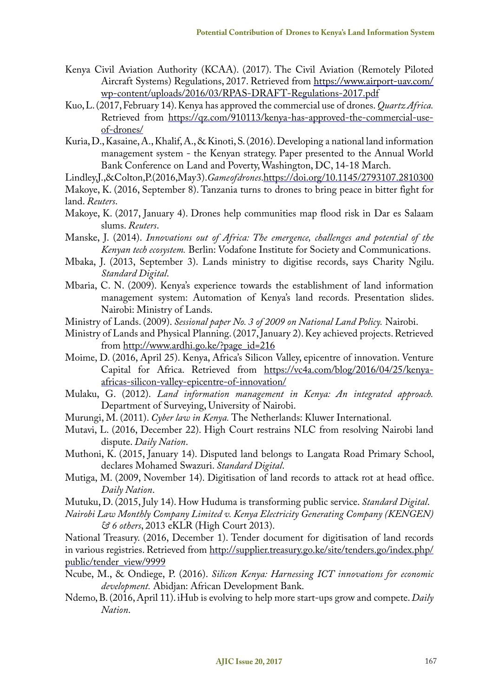- Kenya Civil Aviation Authority (KCAA). (2017). The Civil Aviation (Remotely Piloted Aircraft Systems) Regulations, 2017. Retrieved from https://www.airport-uav.com/ wp-content/uploads/2016/03/RPAS-DRAFT-Regulations-2017.pdf
- Kuo, L. (2017, February 14). Kenya has approved the commercial use of drones. *Quartz Africa.* Retrieved from https://qz.com/910113/kenya-has-approved-the-commercial-useof-drones/
- Kuria, D., Kasaine, A., Khalif, A., & Kinoti, S. (2016). Developing a national land information management system - the Kenyan strategy. Paper presented to the Annual World Bank Conference on Land and Poverty, Washington, DC, 14-18 March.
- Lindley, J., & Colton, P. (2016, May 3). *Game of drones*. https://doi.org/10.1145/2793107.2810300
- Makoye, K. (2016, September 8). Tanzania turns to drones to bring peace in bitter fight for

- Makoye, K. (2017, January 4). Drones help communities map flood risk in Dar es Salaam slums. *Reuters*.
- Manske, J. (2014). *Innovations out of Africa: The emergence, challenges and potential of the Kenyan tech ecosystem.* Berlin: Vodafone Institute for Society and Communications.
- Mbaka, J. (2013, September 3). Lands ministry to digitise records, says Charity Ngilu. *Standard Digital*.
- Mbaria, C. N. (2009). Kenya's experience towards the establishment of land information management system: Automation of Kenya's land records. Presentation slides. Nairobi: Ministry of Lands.
- Ministry of Lands. (2009). *Sessional paper No. 3 of 2009 on National Land Policy.* Nairobi.
- Ministry of Lands and Physical Planning. (2017, January 2). Key achieved projects. Retrieved from http://www.ardhi.go.ke/?page\_id=216
- Moime, D. (2016, April 25). Kenya, Africa's Silicon Valley, epicentre of innovation. Venture Capital for Africa. Retrieved from https://vc4a.com/blog/2016/04/25/kenyaafricas-silicon-valley-epicentre-of-innovation/
- Mulaku, G. (2012). *Land information management in Kenya: An integrated approach.* Department of Surveying, University of Nairobi.
- Murungi, M. (2011). *Cyber law in Kenya.* The Netherlands: Kluwer International.
- Mutavi, L. (2016, December 22). High Court restrains NLC from resolving Nairobi land dispute. *Daily Nation*.
- Muthoni, K. (2015, January 14). Disputed land belongs to Langata Road Primary School, declares Mohamed Swazuri. *Standard Digital*.
- Mutiga, M. (2009, November 14). Digitisation of land records to attack rot at head office. *Daily Nation*.
- Mutuku, D. (2015, July 14). How Huduma is transforming public service. *Standard Digital*.
- *Nairobi Law Monthly Company Limited v. Kenya Electricity Generating Company (KENGEN) & 6 others*, 2013 eKLR (High Court 2013).

National Treasury. (2016, December 1). Tender document for digitisation of land records in various registries. Retrieved from http://supplier.treasury.go.ke/site/tenders.go/index.php/ public/tender\_view/9999

- Ncube, M., & Ondiege, P. (2016). *Silicon Kenya: Harnessing ICT innovations for economic development.* Abidjan: African Development Bank.
- Ndemo, B. (2016, April 11). iHub is evolving to help more start-ups grow and compete. *Daily Nation*.

land. *Reuters*.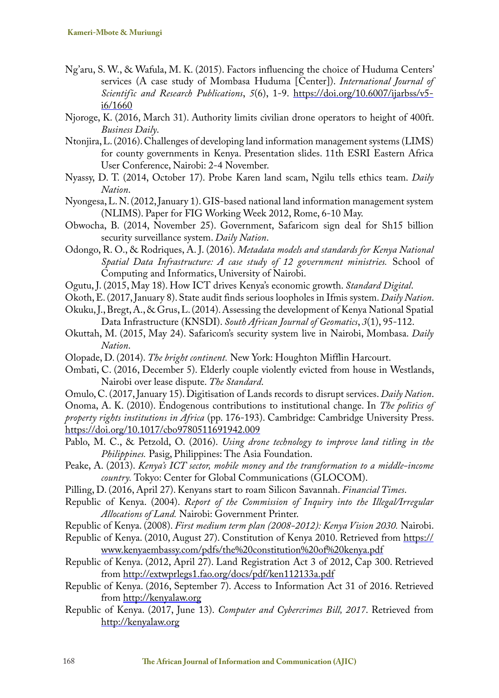- Ng'aru, S. W., & Wafula, M. K. (2015). Factors influencing the choice of Huduma Centers' services (A case study of Mombasa Huduma [Center]). *International Journal of Scientific and Research Publications*, *5*(6), 1-9. https://doi.org/10.6007/ijarbss/v5 i6/1660
- Njoroge, K. (2016, March 31). Authority limits civilian drone operators to height of 400ft. *Business Daily*.
- Ntonjira, L. (2016). Challenges of developing land information management systems (LIMS) for county governments in Kenya. Presentation slides. 11th ESRI Eastern Africa User Conference, Nairobi: 2-4 November.
- Nyassy, D. T. (2014, October 17). Probe Karen land scam, Ngilu tells ethics team. *Daily Nation*.
- Nyongesa, L. N. (2012, January 1). GIS-based national land information management system (NLIMS). Paper for FIG Working Week 2012, Rome, 6-10 May.
- Obwocha, B. (2014, November 25). Government, Safaricom sign deal for Sh15 billion security surveillance system. *Daily Nation*.
- Odongo, R. O., & Rodriques, A. J. (2016). *Metadata models and standards for Kenya National Spatial Data Infrastructure: A case study of 12 government ministries.* School of Computing and Informatics, University of Nairobi.
- Ogutu, J. (2015, May 18). How ICT drives Kenya's economic growth. *Standard Digital*.
- Okoth, E. (2017, January 8). State audit finds serious loopholes in Ifmis system. *Daily Nation*.
- Okuku, J., Bregt, A., & Grus, L. (2014). Assessing the development of Kenya National Spatial Data Infrastructure (KNSDI). *South African Journal of Geomatics*, *3*(1), 95-112.
- Okuttah, M. (2015, May 24). Safaricom's security system live in Nairobi, Mombasa. *Daily Nation*.
- Olopade, D. (2014). *The bright continent.* New York: Houghton Mifflin Harcourt.
- Ombati, C. (2016, December 5). Elderly couple violently evicted from house in Westlands, Nairobi over lease dispute. *The Standard*.
- Omulo, C. (2017, January 15). Digitisation of Lands records to disrupt services. *Daily Nation*.

Onoma, A. K. (2010). Endogenous contributions to institutional change. In *The politics of property rights institutions in Africa* (pp. 176-193). Cambridge: Cambridge University Press. https://doi.org/10.1017/cbo9780511691942.009

- Pablo, M. C., & Petzold, O. (2016). *Using drone technology to improve land titling in the Philippines.* Pasig, Philippines: The Asia Foundation.
- Peake, A. (2013). *Kenya's ICT sector, mobile money and the transformation to a middle-income country.* Tokyo: Center for Global Communications (GLOCOM).
- Pilling, D. (2016, April 27). Kenyans start to roam Silicon Savannah. *Financial Times*.
- Republic of Kenya. (2004). *Report of the Commission of Inquiry into the Illegal/Irregular Allocations of Land.* Nairobi: Government Printer.
- Republic of Kenya. (2008). *First medium term plan (2008-2012): Kenya Vision 2030.* Nairobi.
- Republic of Kenya. (2010, August 27). Constitution of Kenya 2010. Retrieved from https:// www.kenyaembassy.com/pdfs/the%20constitution%20of%20kenya.pdf
- Republic of Kenya. (2012, April 27). Land Registration Act 3 of 2012, Cap 300. Retrieved from http://extwprlegs1.fao.org/docs/pdf/ken112133a.pdf
- Republic of Kenya. (2016, September 7). Access to Information Act 31 of 2016. Retrieved from http://kenyalaw.org
- Republic of Kenya. (2017, June 13). *Computer and Cybercrimes Bill, 2017*. Retrieved from http://kenyalaw.org